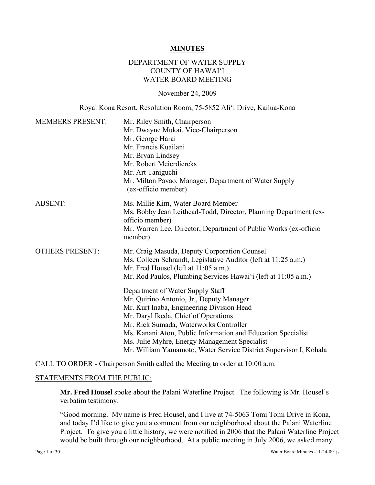#### **MINUTES**

#### DEPARTMENT OF WATER SUPPLY COUNTY OF HAWAI'I WATER BOARD MEETING

#### November 24, 2009

#### Royal Kona Resort, Resolution Room, 75-5852 Ali'i Drive, Kailua-Kona

| <b>MEMBERS PRESENT:</b> | Mr. Riley Smith, Chairperson<br>Mr. Dwayne Mukai, Vice-Chairperson<br>Mr. George Harai<br>Mr. Francis Kuailani<br>Mr. Bryan Lindsey<br>Mr. Robert Meierdiercks<br>Mr. Art Taniguchi<br>Mr. Milton Pavao, Manager, Department of Water Supply<br>(ex-officio member)                                                                                                                                                                                                                                                                                                                                                           |  |
|-------------------------|-------------------------------------------------------------------------------------------------------------------------------------------------------------------------------------------------------------------------------------------------------------------------------------------------------------------------------------------------------------------------------------------------------------------------------------------------------------------------------------------------------------------------------------------------------------------------------------------------------------------------------|--|
| <b>ABSENT:</b>          | Ms. Millie Kim, Water Board Member<br>Ms. Bobby Jean Leithead-Todd, Director, Planning Department (ex-<br>officio member)<br>Mr. Warren Lee, Director, Department of Public Works (ex-officio<br>member)                                                                                                                                                                                                                                                                                                                                                                                                                      |  |
| <b>OTHERS PRESENT:</b>  | Mr. Craig Masuda, Deputy Corporation Counsel<br>Ms. Colleen Schrandt, Legislative Auditor (left at 11:25 a.m.)<br>Mr. Fred Housel (left at 11:05 a.m.)<br>Mr. Rod Paulos, Plumbing Services Hawai'i (left at 11:05 a.m.)<br>Department of Water Supply Staff<br>Mr. Quirino Antonio, Jr., Deputy Manager<br>Mr. Kurt Inaba, Engineering Division Head<br>Mr. Daryl Ikeda, Chief of Operations<br>Mr. Rick Sumada, Waterworks Controller<br>Ms. Kanani Aton, Public Information and Education Specialist<br>Ms. Julie Myhre, Energy Management Specialist<br>Mr. William Yamamoto, Water Service District Supervisor I, Kohala |  |

CALL TO ORDER - Chairperson Smith called the Meeting to order at 10:00 a.m.

#### STATEMENTS FROM THE PUBLIC:

**Mr. Fred Housel** spoke about the Palani Waterline Project. The following is Mr. Housel's verbatim testimony.

"Good morning. My name is Fred Housel, and I live at 74-5063 Tomi Tomi Drive in Kona, and today I'd like to give you a comment from our neighborhood about the Palani Waterline Project. To give you a little history, we were notified in 2006 that the Palani Waterline Project would be built through our neighborhood. At a public meeting in July 2006, we asked many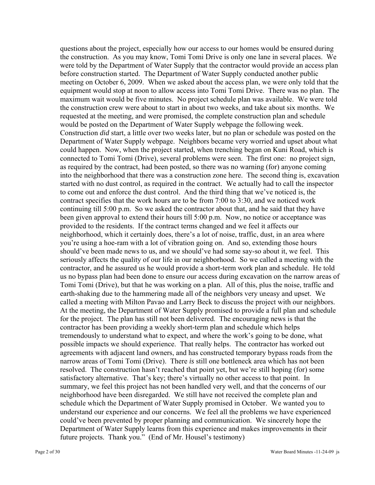questions about the project, especially how our access to our homes would be ensured during the construction. As you may know, Tomi Tomi Drive is only one lane in several places. We were told by the Department of Water Supply that the contractor would provide an access plan before construction started. The Department of Water Supply conducted another public meeting on October 6, 2009. When we asked about the access plan, we were only told that the equipment would stop at noon to allow access into Tomi Tomi Drive. There was no plan. The maximum wait would be five minutes. No project schedule plan was available. We were told the construction crew were about to start in about two weeks, and take about six months. We requested at the meeting, and were promised, the complete construction plan and schedule would be posted on the Department of Water Supply webpage the following week. Construction *did* start, a little over two weeks later, but no plan or schedule was posted on the Department of Water Supply webpage. Neighbors became very worried and upset about what could happen. Now, when the project started, when trenching began on Kuni Road, which is connected to Tomi Tomi (Drive), several problems were seen. The first one: no project sign, as required by the contract, had been posted, so there was no warning (for) anyone coming into the neighborhood that there was a construction zone here. The second thing is, excavation started with no dust control, as required in the contract. We actually had to call the inspector to come out and enforce the dust control. And the third thing that we've noticed is, the contract specifies that the work hours are to be from 7:00 to 3:30, and we noticed work continuing till 5:00 p.m. So we asked the contractor about that, and he said that they have been given approval to extend their hours till 5:00 p.m. Now, no notice or acceptance was provided to the residents. If the contract terms changed and we feel it affects our neighborhood, which it certainly does, there's a lot of noise, traffic, dust, in an area where you're using a hoe-ram with a lot of vibration going on. And so, extending those hours should've been made news to us, and we should've had some say-so about it, we feel. This seriously affects the quality of our life in our neighborhood. So we called a meeting with the contractor, and he assured us he would provide a short-term work plan and schedule. He told us no bypass plan had been done to ensure our access during excavation on the narrow areas of Tomi Tomi (Drive), but that he was working on a plan. All of this, plus the noise, traffic and earth-shaking due to the hammering made all of the neighbors very uneasy and upset. We called a meeting with Milton Pavao and Larry Beck to discuss the project with our neighbors. At the meeting, the Department of Water Supply promised to provide a full plan and schedule for the project. The plan has still not been delivered. The encouraging news is that the contractor has been providing a weekly short-term plan and schedule which helps tremendously to understand what to expect, and where the work's going to be done, what possible impacts we should experience. That really helps. The contractor has worked out agreements with adjacent land owners, and has constructed temporary bypass roads from the narrow areas of Tomi Tomi (Drive). There *is* still one bottleneck area which has not been resolved. The construction hasn't reached that point yet, but we're still hoping (for) some satisfactory alternative. That's key; there's virtually no other access to that point. In summary, we feel this project has not been handled very well, and that the concerns of our neighborhood have been disregarded. We still have not received the complete plan and schedule which the Department of Water Supply promised in October. We wanted you to understand our experience and our concerns. We feel all the problems we have experienced could've been prevented by proper planning and communication. We sincerely hope the Department of Water Supply learns from this experience and makes improvements in their future projects. Thank you." (End of Mr. Housel's testimony)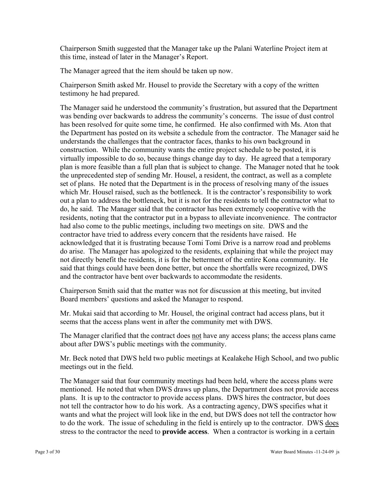Chairperson Smith suggested that the Manager take up the Palani Waterline Project item at this time, instead of later in the Manager's Report.

The Manager agreed that the item should be taken up now.

Chairperson Smith asked Mr. Housel to provide the Secretary with a copy of the written testimony he had prepared.

The Manager said he understood the community's frustration, but assured that the Department was bending over backwards to address the community's concerns. The issue of dust control has been resolved for quite some time, he confirmed. He also confirmed with Ms. Aton that the Department has posted on its website a schedule from the contractor. The Manager said he understands the challenges that the contractor faces, thanks to his own background in construction. While the community wants the entire project schedule to be posted, it is virtually impossible to do so, because things change day to day. He agreed that a temporary plan is more feasible than a full plan that is subject to change. The Manager noted that he took the unprecedented step of sending Mr. Housel, a resident, the contract, as well as a complete set of plans. He noted that the Department is in the process of resolving many of the issues which Mr. Housel raised, such as the bottleneck. It is the contractor's responsibility to work out a plan to address the bottleneck, but it is not for the residents to tell the contractor what to do, he said. The Manager said that the contractor has been extremely cooperative with the residents, noting that the contractor put in a bypass to alleviate inconvenience. The contractor had also come to the public meetings, including two meetings on site. DWS and the contractor have tried to address every concern that the residents have raised. He acknowledged that it is frustrating because Tomi Tomi Drive is a narrow road and problems do arise. The Manager has apologized to the residents, explaining that while the project may not directly benefit the residents, it is for the betterment of the entire Kona community. He said that things could have been done better, but once the shortfalls were recognized, DWS and the contractor have bent over backwards to accommodate the residents.

Chairperson Smith said that the matter was not for discussion at this meeting, but invited Board members' questions and asked the Manager to respond.

Mr. Mukai said that according to Mr. Housel, the original contract had access plans, but it seems that the access plans went in after the community met with DWS.

The Manager clarified that the contract does not have any access plans; the access plans came about after DWS's public meetings with the community.

Mr. Beck noted that DWS held two public meetings at Kealakehe High School, and two public meetings out in the field.

The Manager said that four community meetings had been held, where the access plans were mentioned. He noted that when DWS draws up plans, the Department does not provide access plans. It is up to the contractor to provide access plans. DWS hires the contractor, but does not tell the contractor how to do his work. As a contracting agency, DWS specifies what it wants and what the project will look like in the end, but DWS does not tell the contractor how to do the work. The issue of scheduling in the field is entirely up to the contractor. DWS does stress to the contractor the need to **provide access**. When a contractor is working in a certain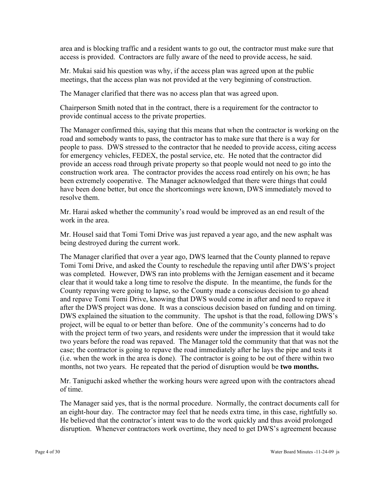area and is blocking traffic and a resident wants to go out, the contractor must make sure that access is provided. Contractors are fully aware of the need to provide access, he said.

Mr. Mukai said his question was why, if the access plan was agreed upon at the public meetings, that the access plan was not provided at the very beginning of construction.

The Manager clarified that there was no access plan that was agreed upon.

Chairperson Smith noted that in the contract, there is a requirement for the contractor to provide continual access to the private properties.

The Manager confirmed this, saying that this means that when the contractor is working on the road and somebody wants to pass, the contractor has to make sure that there is a way for people to pass. DWS stressed to the contractor that he needed to provide access, citing access for emergency vehicles, FEDEX, the postal service, etc. He noted that the contractor did provide an access road through private property so that people would not need to go into the construction work area. The contractor provides the access road entirely on his own; he has been extremely cooperative. The Manager acknowledged that there were things that could have been done better, but once the shortcomings were known, DWS immediately moved to resolve them.

Mr. Harai asked whether the community's road would be improved as an end result of the work in the area.

Mr. Housel said that Tomi Tomi Drive was just repaved a year ago, and the new asphalt was being destroyed during the current work.

The Manager clarified that over a year ago, DWS learned that the County planned to repave Tomi Tomi Drive, and asked the County to reschedule the repaving until after DWS's project was completed. However, DWS ran into problems with the Jernigan easement and it became clear that it would take a long time to resolve the dispute. In the meantime, the funds for the County repaving were going to lapse, so the County made a conscious decision to go ahead and repave Tomi Tomi Drive, knowing that DWS would come in after and need to repave it after the DWS project was done. It was a conscious decision based on funding and on timing. DWS explained the situation to the community. The upshot is that the road, following DWS's project, will be equal to or better than before. One of the community's concerns had to do with the project term of two years, and residents were under the impression that it would take two years before the road was repaved. The Manager told the community that that was not the case; the contractor is going to repave the road immediately after he lays the pipe and tests it (i.e. when the work in the area is done). The contractor is going to be out of there within two months, not two years. He repeated that the period of disruption would be **two months.**

Mr. Taniguchi asked whether the working hours were agreed upon with the contractors ahead of time.

The Manager said yes, that is the normal procedure. Normally, the contract documents call for an eight-hour day. The contractor may feel that he needs extra time, in this case, rightfully so. He believed that the contractor's intent was to do the work quickly and thus avoid prolonged disruption. Whenever contractors work overtime, they need to get DWS's agreement because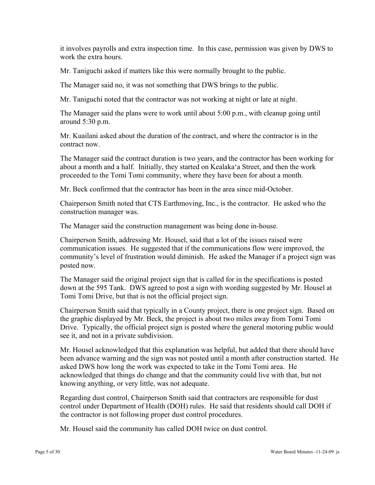it involves payrolls and extra inspection time. In this case, permission was given by DWS to work the extra hours.

Mr. Taniguchi asked if matters like this were normally brought to the public.

The Manager said no, it was not something that DWS brings to the public.

Mr. Taniguchi noted that the contractor was not working at night or late at night.

The Manager said the plans were to work until about 5:00 p.m., with cleanup going until around 5:30 p.m.

Mr. Kuailani asked about the duration of the contract, and where the contractor is in the contract now.

The Manager said the contract duration is two years, and the contractor has been working for about a month and a half. Initially, they started on Kealaka'a Street, and then the work proceeded to the Tomi Tomi community, where they have been for about a month.

Mr. Beck confirmed that the contractor has been in the area since mid-October.

Chairperson Smith noted that CTS Earthmoving, Inc., is the contractor. He asked who the construction manager was.

The Manager said the construction management was being done in-house.

Chairperson Smith, addressing Mr. Housel, said that a lot of the issues raised were communication issues. He suggested that if the communications flow were improved, the community's level of frustration would diminish. He asked the Manager if a project sign was posted now.

The Manager said the original project sign that is called for in the specifications is posted down at the 595 Tank. DWS agreed to post a sign with wording suggested by Mr. Housel at Tomi Tomi Drive, but that is not the official project sign.

Chairperson Smith said that typically in a County project, there is one project sign. Based on the graphic displayed by Mr. Beck, the project is about two miles away from Tomi Tomi Drive. Typically, the official project sign is posted where the general motoring public would see it, and not in a private subdivision.

Mr. Housel acknowledged that this explanation was helpful, but added that there should have been advance warning and the sign was not posted until a month after construction started. He asked DWS how long the work was expected to take in the Tomi Tomi area. He acknowledged that things do change and that the community could live with that, but not knowing anything, or very little, was not adequate.

Regarding dust control, Chairperson Smith said that contractors are responsible for dust control under Department of Health (DOH) rules. He said that residents should call DOH if the contractor is not following proper dust control procedures.

Mr. Housel said the community has called DOH twice on dust control.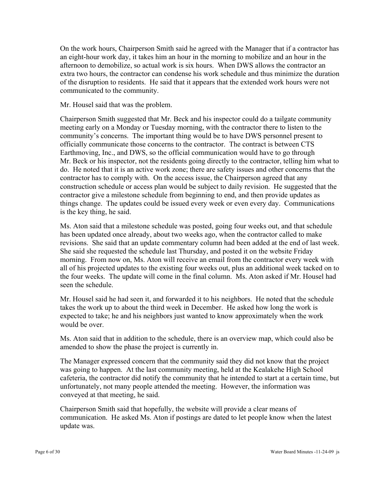On the work hours, Chairperson Smith said he agreed with the Manager that if a contractor has an eight-hour work day, it takes him an hour in the morning to mobilize and an hour in the afternoon to demobilize, so actual work is six hours. When DWS allows the contractor an extra two hours, the contractor can condense his work schedule and thus minimize the duration of the disruption to residents. He said that it appears that the extended work hours were not communicated to the community.

Mr. Housel said that was the problem.

Chairperson Smith suggested that Mr. Beck and his inspector could do a tailgate community meeting early on a Monday or Tuesday morning, with the contractor there to listen to the community's concerns. The important thing would be to have DWS personnel present to officially communicate those concerns to the contractor. The contract is between CTS Earthmoving, Inc., and DWS, so the official communication would have to go through Mr. Beck or his inspector, not the residents going directly to the contractor, telling him what to do. He noted that it is an active work zone; there are safety issues and other concerns that the contractor has to comply with. On the access issue, the Chairperson agreed that any construction schedule or access plan would be subject to daily revision. He suggested that the contractor give a milestone schedule from beginning to end, and then provide updates as things change. The updates could be issued every week or even every day. Communications is the key thing, he said.

Ms. Aton said that a milestone schedule was posted, going four weeks out, and that schedule has been updated once already, about two weeks ago, when the contractor called to make revisions. She said that an update commentary column had been added at the end of last week. She said she requested the schedule last Thursday, and posted it on the website Friday morning. From now on, Ms. Aton will receive an email from the contractor every week with all of his projected updates to the existing four weeks out, plus an additional week tacked on to the four weeks. The update will come in the final column. Ms. Aton asked if Mr. Housel had seen the schedule.

Mr. Housel said he had seen it, and forwarded it to his neighbors. He noted that the schedule takes the work up to about the third week in December. He asked how long the work is expected to take; he and his neighbors just wanted to know approximately when the work would be over.

Ms. Aton said that in addition to the schedule, there is an overview map, which could also be amended to show the phase the project is currently in.

The Manager expressed concern that the community said they did not know that the project was going to happen. At the last community meeting, held at the Kealakehe High School cafeteria, the contractor did notify the community that he intended to start at a certain time, but unfortunately, not many people attended the meeting. However, the information was conveyed at that meeting, he said.

Chairperson Smith said that hopefully, the website will provide a clear means of communication. He asked Ms. Aton if postings are dated to let people know when the latest update was.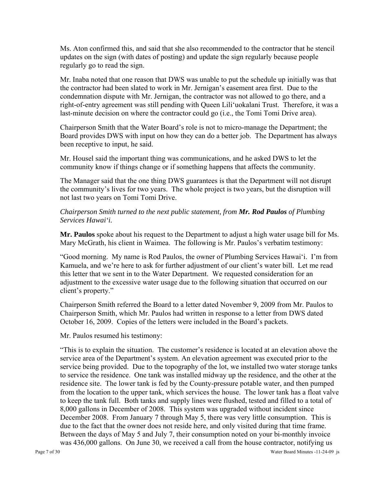Ms. Aton confirmed this, and said that she also recommended to the contractor that he stencil updates on the sign (with dates of posting) and update the sign regularly because people regularly go to read the sign.

Mr. Inaba noted that one reason that DWS was unable to put the schedule up initially was that the contractor had been slated to work in Mr. Jernigan's easement area first. Due to the condemnation dispute with Mr. Jernigan, the contractor was not allowed to go there, and a right-of-entry agreement was still pending with Queen Lili'uokalani Trust. Therefore, it was a last-minute decision on where the contractor could go (i.e., the Tomi Tomi Drive area).

Chairperson Smith that the Water Board's role is not to micro-manage the Department; the Board provides DWS with input on how they can do a better job. The Department has always been receptive to input, he said.

Mr. Housel said the important thing was communications, and he asked DWS to let the community know if things change or if something happens that affects the community.

The Manager said that the one thing DWS guarantees is that the Department will not disrupt the community's lives for two years. The whole project is two years, but the disruption will not last two years on Tomi Tomi Drive.

*Chairperson Smith turned to the next public statement, from Mr. Rod Paulos of Plumbing Services Hawai'i.* 

**Mr. Paulos** spoke about his request to the Department to adjust a high water usage bill for Ms. Mary McGrath, his client in Waimea.The following is Mr. Paulos's verbatim testimony:

"Good morning. My name is Rod Paulos, the owner of Plumbing Services Hawai'i. I'm from Kamuela, and we're here to ask for further adjustment of our client's water bill. Let me read this letter that we sent in to the Water Department. We requested consideration for an adjustment to the excessive water usage due to the following situation that occurred on our client's property."

Chairperson Smith referred the Board to a letter dated November 9, 2009 from Mr. Paulos to Chairperson Smith, which Mr. Paulos had written in response to a letter from DWS dated October 16, 2009. Copies of the letters were included in the Board's packets.

Mr. Paulos resumed his testimony:

"This is to explain the situation. The customer's residence is located at an elevation above the service area of the Department's system. An elevation agreement was executed prior to the service being provided. Due to the topography of the lot, we installed two water storage tanks to service the residence. One tank was installed midway up the residence, and the other at the residence site. The lower tank is fed by the County-pressure potable water, and then pumped from the location to the upper tank, which services the house. The lower tank has a float valve to keep the tank full. Both tanks and supply lines were flushed, tested and filled to a total of 8,000 gallons in December of 2008. This system was upgraded without incident since December 2008. From January 7 through May 5, there was very little consumption. This is due to the fact that the owner does not reside here, and only visited during that time frame. Between the days of May 5 and July 7, their consumption noted on your bi-monthly invoice was 436,000 gallons. On June 30, we received a call from the house contractor, notifying us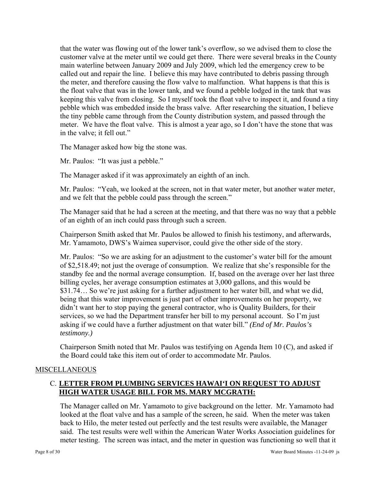that the water was flowing out of the lower tank's overflow, so we advised them to close the customer valve at the meter until we could get there. There were several breaks in the County main waterline between January 2009 and July 2009, which led the emergency crew to be called out and repair the line. I believe this may have contributed to debris passing through the meter, and therefore causing the flow valve to malfunction. What happens is that this is the float valve that was in the lower tank, and we found a pebble lodged in the tank that was keeping this valve from closing. So I myself took the float valve to inspect it, and found a tiny pebble which was embedded inside the brass valve. After researching the situation, I believe the tiny pebble came through from the County distribution system, and passed through the meter. We have the float valve. This is almost a year ago, so I don't have the stone that was in the valve; it fell out."

The Manager asked how big the stone was.

Mr. Paulos: "It was just a pebble."

The Manager asked if it was approximately an eighth of an inch.

Mr. Paulos: "Yeah, we looked at the screen, not in that water meter, but another water meter, and we felt that the pebble could pass through the screen."

The Manager said that he had a screen at the meeting, and that there was no way that a pebble of an eighth of an inch could pass through such a screen.

Chairperson Smith asked that Mr. Paulos be allowed to finish his testimony, and afterwards, Mr. Yamamoto, DWS's Waimea supervisor, could give the other side of the story.

Mr. Paulos: "So we are asking for an adjustment to the customer's water bill for the amount of \$2,518.49; not just the overage of consumption. We realize that she's responsible for the standby fee and the normal average consumption. If, based on the average over her last three billing cycles, her average consumption estimates at 3,000 gallons, and this would be \$31.74… So we're just asking for a further adjustment to her water bill, and what we did, being that this water improvement is just part of other improvements on her property, we didn't want her to stop paying the general contractor, who is Quality Builders, for their services, so we had the Department transfer her bill to my personal account. So I'm just asking if we could have a further adjustment on that water bill." *(End of Mr. Paulos's testimony.)* 

Chairperson Smith noted that Mr. Paulos was testifying on Agenda Item 10 (C), and asked if the Board could take this item out of order to accommodate Mr. Paulos.

#### MISCELLANEOUS

### C. **LETTER FROM PLUMBING SERVICES HAWAI'I ON REQUEST TO ADJUST HIGH WATER USAGE BILL FOR MS. MARY MCGRATH:**

The Manager called on Mr. Yamamoto to give background on the letter. Mr. Yamamoto had looked at the float valve and has a sample of the screen, he said. When the meter was taken back to Hilo, the meter tested out perfectly and the test results were available, the Manager said. The test results were well within the American Water Works Association guidelines for meter testing. The screen was intact, and the meter in question was functioning so well that it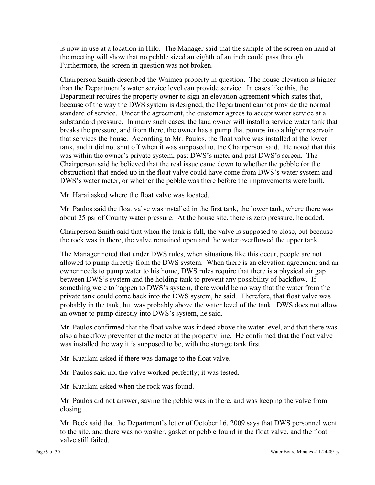is now in use at a location in Hilo. The Manager said that the sample of the screen on hand at the meeting will show that no pebble sized an eighth of an inch could pass through. Furthermore, the screen in question was not broken.

Chairperson Smith described the Waimea property in question. The house elevation is higher than the Department's water service level can provide service. In cases like this, the Department requires the property owner to sign an elevation agreement which states that, because of the way the DWS system is designed, the Department cannot provide the normal standard of service. Under the agreement, the customer agrees to accept water service at a substandard pressure. In many such cases, the land owner will install a service water tank that breaks the pressure, and from there, the owner has a pump that pumps into a higher reservoir that services the house. According to Mr. Paulos, the float valve was installed at the lower tank, and it did not shut off when it was supposed to, the Chairperson said. He noted that this was within the owner's private system, past DWS's meter and past DWS's screen. The Chairperson said he believed that the real issue came down to whether the pebble (or the obstruction) that ended up in the float valve could have come from DWS's water system and DWS's water meter, or whether the pebble was there before the improvements were built.

Mr. Harai asked where the float valve was located.

Mr. Paulos said the float valve was installed in the first tank, the lower tank, where there was about 25 psi of County water pressure. At the house site, there is zero pressure, he added.

Chairperson Smith said that when the tank is full, the valve is supposed to close, but because the rock was in there, the valve remained open and the water overflowed the upper tank.

The Manager noted that under DWS rules, when situations like this occur, people are not allowed to pump directly from the DWS system. When there is an elevation agreement and an owner needs to pump water to his home, DWS rules require that there is a physical air gap between DWS's system and the holding tank to prevent any possibility of backflow. If something were to happen to DWS's system, there would be no way that the water from the private tank could come back into the DWS system, he said. Therefore, that float valve was probably in the tank, but was probably above the water level of the tank. DWS does not allow an owner to pump directly into DWS's system, he said.

Mr. Paulos confirmed that the float valve was indeed above the water level, and that there was also a backflow preventer at the meter at the property line. He confirmed that the float valve was installed the way it is supposed to be, with the storage tank first.

Mr. Kuailani asked if there was damage to the float valve.

Mr. Paulos said no, the valve worked perfectly; it was tested.

Mr. Kuailani asked when the rock was found.

Mr. Paulos did not answer, saying the pebble was in there, and was keeping the valve from closing.

Mr. Beck said that the Department's letter of October 16, 2009 says that DWS personnel went to the site, and there was no washer, gasket or pebble found in the float valve, and the float valve still failed.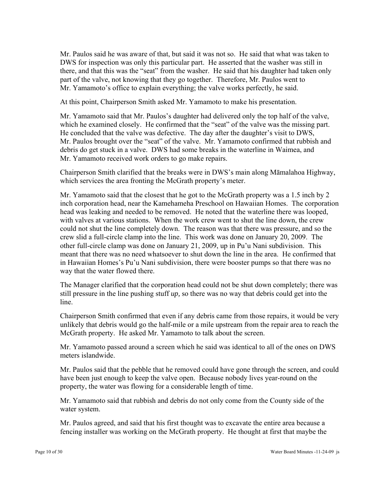Mr. Paulos said he was aware of that, but said it was not so. He said that what was taken to DWS for inspection was only this particular part. He asserted that the washer was still in there, and that this was the "seat" from the washer. He said that his daughter had taken only part of the valve, not knowing that they go together. Therefore, Mr. Paulos went to Mr. Yamamoto's office to explain everything; the valve works perfectly, he said.

At this point, Chairperson Smith asked Mr. Yamamoto to make his presentation.

Mr. Yamamoto said that Mr. Paulos's daughter had delivered only the top half of the valve, which he examined closely. He confirmed that the "seat" of the valve was the missing part. He concluded that the valve was defective. The day after the daughter's visit to DWS, Mr. Paulos brought over the "seat" of the valve. Mr. Yamamoto confirmed that rubbish and debris do get stuck in a valve. DWS had some breaks in the waterline in Waimea, and Mr. Yamamoto received work orders to go make repairs.

Chairperson Smith clarified that the breaks were in DWS's main along Māmalahoa Highway, which services the area fronting the McGrath property's meter.

Mr. Yamamoto said that the closest that he got to the McGrath property was a 1.5 inch by 2 inch corporation head, near the Kamehameha Preschool on Hawaiian Homes. The corporation head was leaking and needed to be removed. He noted that the waterline there was looped, with valves at various stations. When the work crew went to shut the line down, the crew could not shut the line completely down. The reason was that there was pressure, and so the crew slid a full-circle clamp into the line. This work was done on January 20, 2009. The other full-circle clamp was done on January 21, 2009, up in Pu'u Nani subdivision. This meant that there was no need whatsoever to shut down the line in the area. He confirmed that in Hawaiian Homes's Pu'u Nani subdivision, there were booster pumps so that there was no way that the water flowed there.

The Manager clarified that the corporation head could not be shut down completely; there was still pressure in the line pushing stuff *up,* so there was no way that debris could get into the line.

Chairperson Smith confirmed that even if any debris came from those repairs, it would be very unlikely that debris would go the half-mile or a mile upstream from the repair area to reach the McGrath property. He asked Mr. Yamamoto to talk about the screen.

Mr. Yamamoto passed around a screen which he said was identical to all of the ones on DWS meters islandwide.

Mr. Paulos said that the pebble that he removed could have gone through the screen, and could have been just enough to keep the valve open. Because nobody lives year-round on the property, the water was flowing for a considerable length of time.

Mr. Yamamoto said that rubbish and debris do not only come from the County side of the water system.

Mr. Paulos agreed, and said that his first thought was to excavate the entire area because a fencing installer was working on the McGrath property. He thought at first that maybe the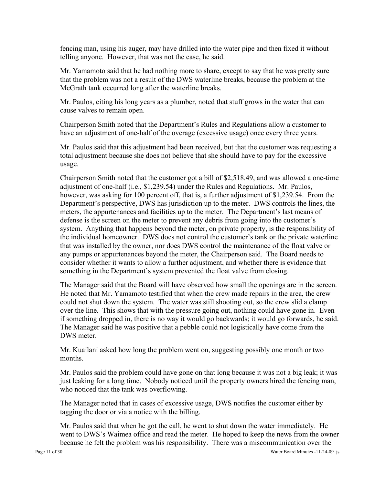fencing man, using his auger, may have drilled into the water pipe and then fixed it without telling anyone. However, that was not the case, he said.

Mr. Yamamoto said that he had nothing more to share, except to say that he was pretty sure that the problem was not a result of the DWS waterline breaks, because the problem at the McGrath tank occurred long after the waterline breaks.

Mr. Paulos, citing his long years as a plumber, noted that stuff grows in the water that can cause valves to remain open.

Chairperson Smith noted that the Department's Rules and Regulations allow a customer to have an adjustment of one-half of the overage (excessive usage) once every three years.

Mr. Paulos said that this adjustment had been received, but that the customer was requesting a total adjustment because she does not believe that she should have to pay for the excessive usage.

Chairperson Smith noted that the customer got a bill of \$2,518.49, and was allowed a one-time adjustment of one-half (i.e., \$1,239.54) under the Rules and Regulations. Mr. Paulos, however, was asking for 100 percent off, that is, a further adjustment of \$1,239.54. From the Department's perspective, DWS has jurisdiction up to the meter. DWS controls the lines, the meters, the appurtenances and facilities up to the meter. The Department's last means of defense is the screen on the meter to prevent any debris from going into the customer's system. Anything that happens beyond the meter, on private property, is the responsibility of the individual homeowner. DWS does not control the customer's tank or the private waterline that was installed by the owner, nor does DWS control the maintenance of the float valve or any pumps or appurtenances beyond the meter, the Chairperson said. The Board needs to consider whether it wants to allow a further adjustment, and whether there is evidence that something in the Department's system prevented the float valve from closing.

The Manager said that the Board will have observed how small the openings are in the screen. He noted that Mr. Yamamoto testified that when the crew made repairs in the area, the crew could not shut down the system. The water was still shooting out, so the crew slid a clamp over the line. This shows that with the pressure going out, nothing could have gone in. Even if something dropped in, there is no way it would go backwards; it would go forwards, he said. The Manager said he was positive that a pebble could not logistically have come from the DWS meter.

Mr. Kuailani asked how long the problem went on, suggesting possibly one month or two months.

Mr. Paulos said the problem could have gone on that long because it was not a big leak; it was just leaking for a long time. Nobody noticed until the property owners hired the fencing man, who noticed that the tank was overflowing.

The Manager noted that in cases of excessive usage, DWS notifies the customer either by tagging the door or via a notice with the billing.

Mr. Paulos said that when he got the call, he went to shut down the water immediately. He went to DWS's Waimea office and read the meter. He hoped to keep the news from the owner because he felt the problem was his responsibility. There was a miscommunication over the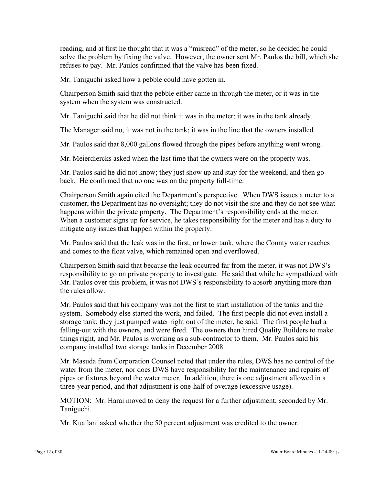reading, and at first he thought that it was a "misread" of the meter, so he decided he could solve the problem by fixing the valve. However, the owner sent Mr. Paulos the bill, which she refuses to pay. Mr. Paulos confirmed that the valve has been fixed.

Mr. Taniguchi asked how a pebble could have gotten in.

Chairperson Smith said that the pebble either came in through the meter, or it was in the system when the system was constructed.

Mr. Taniguchi said that he did not think it was in the meter; it was in the tank already.

The Manager said no, it was not in the tank; it was in the line that the owners installed.

Mr. Paulos said that 8,000 gallons flowed through the pipes before anything went wrong.

Mr. Meierdiercks asked when the last time that the owners were on the property was.

Mr. Paulos said he did not know; they just show up and stay for the weekend, and then go back. He confirmed that no one was on the property full-time.

Chairperson Smith again cited the Department's perspective. When DWS issues a meter to a customer, the Department has no oversight; they do not visit the site and they do not see what happens within the private property. The Department's responsibility ends at the meter. When a customer signs up for service, he takes responsibility for the meter and has a duty to mitigate any issues that happen within the property.

Mr. Paulos said that the leak was in the first, or lower tank, where the County water reaches and comes to the float valve, which remained open and overflowed.

Chairperson Smith said that because the leak occurred far from the meter, it was not DWS's responsibility to go on private property to investigate. He said that while he sympathized with Mr. Paulos over this problem, it was not DWS's responsibility to absorb anything more than the rules allow.

Mr. Paulos said that his company was not the first to start installation of the tanks and the system. Somebody else started the work, and failed. The first people did not even install a storage tank; they just pumped water right out of the meter, he said. The first people had a falling-out with the owners, and were fired. The owners then hired Quality Builders to make things right, and Mr. Paulos is working as a sub-contractor to them. Mr. Paulos said his company installed two storage tanks in December 2008.

Mr. Masuda from Corporation Counsel noted that under the rules, DWS has no control of the water from the meter, nor does DWS have responsibility for the maintenance and repairs of pipes or fixtures beyond the water meter. In addition, there is one adjustment allowed in a three-year period, and that adjustment is one-half of overage (excessive usage).

MOTION: Mr. Harai moved to deny the request for a further adjustment; seconded by Mr. Taniguchi.

Mr. Kuailani asked whether the 50 percent adjustment was credited to the owner.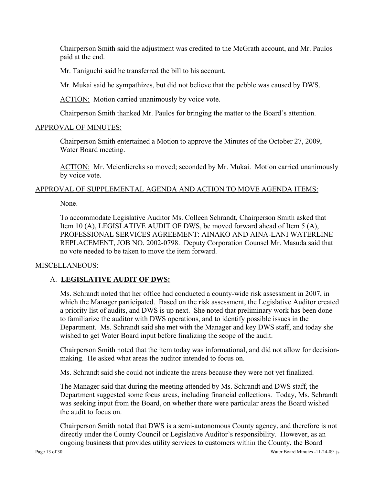Chairperson Smith said the adjustment was credited to the McGrath account, and Mr. Paulos paid at the end.

Mr. Taniguchi said he transferred the bill to his account.

Mr. Mukai said he sympathizes, but did not believe that the pebble was caused by DWS.

ACTION: Motion carried unanimously by voice vote.

Chairperson Smith thanked Mr. Paulos for bringing the matter to the Board's attention.

#### APPROVAL OF MINUTES:

Chairperson Smith entertained a Motion to approve the Minutes of the October 27, 2009, Water Board meeting.

ACTION: Mr. Meierdiercks so moved; seconded by Mr. Mukai. Motion carried unanimously by voice vote.

#### APPROVAL OF SUPPLEMENTAL AGENDA AND ACTION TO MOVE AGENDA ITEMS:

None.

To accommodate Legislative Auditor Ms. Colleen Schrandt, Chairperson Smith asked that Item 10 (A), LEGISLATIVE AUDIT OF DWS, be moved forward ahead of Item 5 (A), PROFESSIONAL SERVICES AGREEMENT: AINAKO AND AINA-LANI WATERLINE REPLACEMENT, JOB NO. 2002-0798. Deputy Corporation Counsel Mr. Masuda said that no vote needed to be taken to move the item forward.

#### MISCELLANEOUS:

# A. **LEGISLATIVE AUDIT OF DWS:**

Ms. Schrandt noted that her office had conducted a county-wide risk assessment in 2007, in which the Manager participated. Based on the risk assessment, the Legislative Auditor created a priority list of audits, and DWS is up next. She noted that preliminary work has been done to familiarize the auditor with DWS operations, and to identify possible issues in the Department. Ms. Schrandt said she met with the Manager and key DWS staff, and today she wished to get Water Board input before finalizing the scope of the audit.

Chairperson Smith noted that the item today was informational, and did not allow for decisionmaking. He asked what areas the auditor intended to focus on.

Ms. Schrandt said she could not indicate the areas because they were not yet finalized.

The Manager said that during the meeting attended by Ms. Schrandt and DWS staff, the Department suggested some focus areas, including financial collections. Today, Ms. Schrandt was seeking input from the Board, on whether there were particular areas the Board wished the audit to focus on.

Chairperson Smith noted that DWS is a semi-autonomous County agency, and therefore is not directly under the County Council or Legislative Auditor's responsibility. However, as an ongoing business that provides utility services to customers within the County, the Board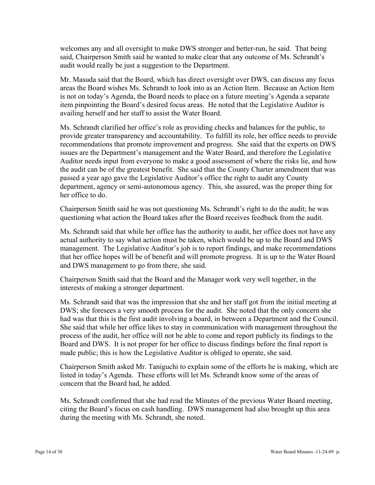welcomes any and all oversight to make DWS stronger and better-run, he said. That being said, Chairperson Smith said he wanted to make clear that any outcome of Ms. Schrandt's audit would really be just a suggestion to the Department.

Mr. Masuda said that the Board, which has direct oversight over DWS, can discuss any focus areas the Board wishes Ms. Schrandt to look into as an Action Item. Because an Action Item is not on today's Agenda, the Board needs to place on a future meeting's Agenda a separate item pinpointing the Board's desired focus areas. He noted that the Legislative Auditor is availing herself and her staff to assist the Water Board.

Ms. Schrandt clarified her office's role as providing checks and balances for the public, to provide greater transparency and accountability. To fulfill its role, her office needs to provide recommendations that promote improvement and progress. She said that the experts on DWS issues are the Department's management and the Water Board, and therefore the Legislative Auditor needs input from everyone to make a good assessment of where the risks lie, and how the audit can be of the greatest benefit. She said that the County Charter amendment that was passed a year ago gave the Legislative Auditor's office the right to audit any County department, agency or semi-autonomous agency. This, she assured, was the proper thing for her office to do.

Chairperson Smith said he was not questioning Ms. Schrandt's right to do the audit; he was questioning what action the Board takes after the Board receives feedback from the audit.

Ms. Schrandt said that while her office has the authority to audit, her office does not have any actual authority to say what action must be taken, which would be up to the Board and DWS management. The Legislative Auditor's job is to report findings, and make recommendations that her office hopes will be of benefit and will promote progress. It is up to the Water Board and DWS management to go from there, she said.

Chairperson Smith said that the Board and the Manager work very well together, in the interests of making a stronger department.

Ms. Schrandt said that was the impression that she and her staff got from the initial meeting at DWS; she foresees a very smooth process for the audit. She noted that the only concern she had was that this is the first audit involving a board, in between a Department and the Council. She said that while her office likes to stay in communication with management throughout the process of the audit, her office will not be able to come and report publicly its findings to the Board and DWS. It is not proper for her office to discuss findings before the final report is made public; this is how the Legislative Auditor is obliged to operate, she said.

Chairperson Smith asked Mr. Taniguchi to explain some of the efforts he is making, which are listed in today's Agenda. These efforts will let Ms. Schrandt know some of the areas of concern that the Board had, he added.

Ms. Schrandt confirmed that she had read the Minutes of the previous Water Board meeting, citing the Board's focus on cash handling. DWS management had also brought up this area during the meeting with Ms. Schrandt, she noted.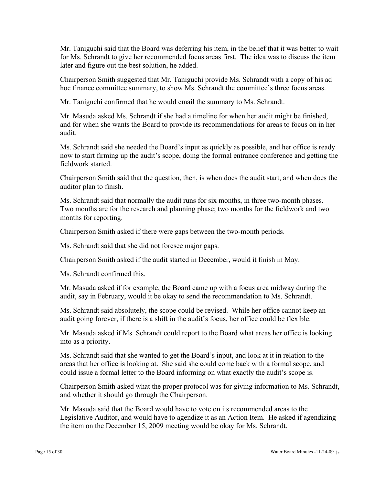Mr. Taniguchi said that the Board was deferring his item, in the belief that it was better to wait for Ms. Schrandt to give her recommended focus areas first. The idea was to discuss the item later and figure out the best solution, he added.

Chairperson Smith suggested that Mr. Taniguchi provide Ms. Schrandt with a copy of his ad hoc finance committee summary, to show Ms. Schrandt the committee's three focus areas.

Mr. Taniguchi confirmed that he would email the summary to Ms. Schrandt.

Mr. Masuda asked Ms. Schrandt if she had a timeline for when her audit might be finished, and for when she wants the Board to provide its recommendations for areas to focus on in her audit.

Ms. Schrandt said she needed the Board's input as quickly as possible, and her office is ready now to start firming up the audit's scope, doing the formal entrance conference and getting the fieldwork started.

Chairperson Smith said that the question, then, is when does the audit start, and when does the auditor plan to finish.

Ms. Schrandt said that normally the audit runs for six months, in three two-month phases. Two months are for the research and planning phase; two months for the fieldwork and two months for reporting.

Chairperson Smith asked if there were gaps between the two-month periods.

Ms. Schrandt said that she did not foresee major gaps.

Chairperson Smith asked if the audit started in December, would it finish in May.

Ms. Schrandt confirmed this.

Mr. Masuda asked if for example, the Board came up with a focus area midway during the audit, say in February, would it be okay to send the recommendation to Ms. Schrandt.

Ms. Schrandt said absolutely, the scope could be revised. While her office cannot keep an audit going forever, if there is a shift in the audit's focus, her office could be flexible.

Mr. Masuda asked if Ms. Schrandt could report to the Board what areas her office is looking into as a priority.

Ms. Schrandt said that she wanted to get the Board's input, and look at it in relation to the areas that her office is looking at. She said she could come back with a formal scope, and could issue a formal letter to the Board informing on what exactly the audit's scope is.

Chairperson Smith asked what the proper protocol was for giving information to Ms. Schrandt, and whether it should go through the Chairperson.

Mr. Masuda said that the Board would have to vote on its recommended areas to the Legislative Auditor, and would have to agendize it as an Action Item. He asked if agendizing the item on the December 15, 2009 meeting would be okay for Ms. Schrandt.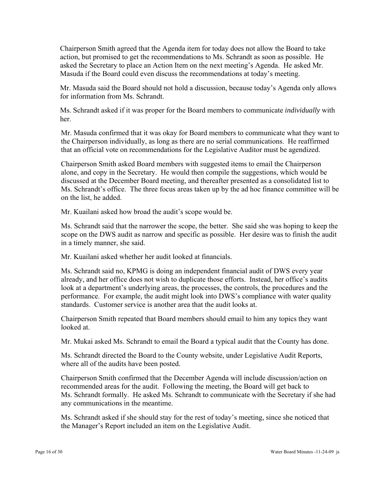Chairperson Smith agreed that the Agenda item for today does not allow the Board to take action, but promised to get the recommendations to Ms. Schrandt as soon as possible. He asked the Secretary to place an Action Item on the next meeting's Agenda. He asked Mr. Masuda if the Board could even discuss the recommendations at today's meeting.

Mr. Masuda said the Board should not hold a discussion, because today's Agenda only allows for information from Ms. Schrandt.

Ms. Schrandt asked if it was proper for the Board members to communicate *individually* with her.

Mr. Masuda confirmed that it was okay for Board members to communicate what they want to the Chairperson individually, as long as there are no serial communications. He reaffirmed that an official vote on recommendations for the Legislative Auditor must be agendized.

Chairperson Smith asked Board members with suggested items to email the Chairperson alone, and copy in the Secretary. He would then compile the suggestions, which would be discussed at the December Board meeting, and thereafter presented as a consolidated list to Ms. Schrandt's office. The three focus areas taken up by the ad hoc finance committee will be on the list, he added.

Mr. Kuailani asked how broad the audit's scope would be.

Ms. Schrandt said that the narrower the scope, the better. She said she was hoping to keep the scope on the DWS audit as narrow and specific as possible. Her desire was to finish the audit in a timely manner, she said.

Mr. Kuailani asked whether her audit looked at financials.

Ms. Schrandt said no, KPMG is doing an independent financial audit of DWS every year already, and her office does not wish to duplicate those efforts. Instead, her office's audits look at a department's underlying areas, the processes, the controls, the procedures and the performance. For example, the audit might look into DWS's compliance with water quality standards. Customer service is another area that the audit looks at.

Chairperson Smith repeated that Board members should email to him any topics they want looked at.

Mr. Mukai asked Ms. Schrandt to email the Board a typical audit that the County has done.

Ms. Schrandt directed the Board to the County website, under Legislative Audit Reports, where all of the audits have been posted.

Chairperson Smith confirmed that the December Agenda will include discussion/action on recommended areas for the audit. Following the meeting, the Board will get back to Ms. Schrandt formally. He asked Ms. Schrandt to communicate with the Secretary if she had any communications in the meantime.

Ms. Schrandt asked if she should stay for the rest of today's meeting, since she noticed that the Manager's Report included an item on the Legislative Audit.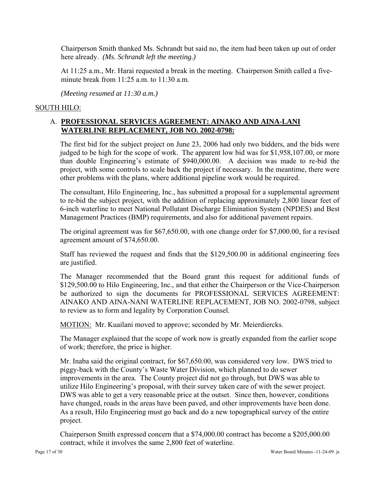Chairperson Smith thanked Ms. Schrandt but said no, the item had been taken up out of order here already. *(Ms. Schrandt left the meeting.)*

At 11:25 a.m., Mr. Harai requested a break in the meeting. Chairperson Smith called a fiveminute break from  $11:25$  a.m. to  $11:30$  a.m.

*(Meeting resumed at 11:30 a.m.)* 

#### SOUTH HILO:

### A. **PROFESSIONAL SERVICES AGREEMENT: AINAKO AND AINA-LANI WATERLINE REPLACEMENT, JOB NO. 2002-0798:**

The first bid for the subject project on June 23, 2006 had only two bidders, and the bids were judged to be high for the scope of work. The apparent low bid was for \$1,958,107.00, or more than double Engineering's estimate of \$940,000.00. A decision was made to re-bid the project, with some controls to scale back the project if necessary. In the meantime, there were other problems with the plans, where additional pipeline work would be required.

The consultant, Hilo Engineering, Inc., has submitted a proposal for a supplemental agreement to re-bid the subject project, with the addition of replacing approximately 2,800 linear feet of 6-inch waterline to meet National Pollutant Discharge Elimination System (NPDES) and Best Management Practices (BMP) requirements, and also for additional pavement repairs.

The original agreement was for \$67,650.00, with one change order for \$7,000.00, for a revised agreement amount of \$74,650.00.

Staff has reviewed the request and finds that the \$129,500.00 in additional engineering fees are justified.

The Manager recommended that the Board grant this request for additional funds of \$129,500.00 to Hilo Engineering, Inc., and that either the Chairperson or the Vice-Chairperson be authorized to sign the documents for PROFESSIONAL SERVICES AGREEMENT: AINAKO AND AINA-NANI WATERLINE REPLACEMENT, JOB NO. 2002-0798, subject to review as to form and legality by Corporation Counsel.

MOTION: Mr. Kuailani moved to approve; seconded by Mr. Meierdiercks.

The Manager explained that the scope of work now is greatly expanded from the earlier scope of work; therefore, the price is higher.

Mr. Inaba said the original contract, for \$67,650.00, was considered very low. DWS tried to piggy-back with the County's Waste Water Division, which planned to do sewer improvements in the area. The County project did not go through, but DWS was able to utilize Hilo Engineering's proposal, with their survey taken care of with the sewer project. DWS was able to get a very reasonable price at the outset. Since then, however, conditions have changed, roads in the areas have been paved, and other improvements have been done. As a result, Hilo Engineering must go back and do a new topographical survey of the entire project.

Chairperson Smith expressed concern that a \$74,000.00 contract has become a \$205,000.00 contract, while it involves the same 2,800 feet of waterline.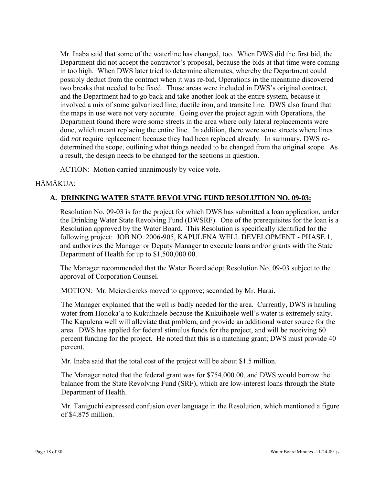Mr. Inaba said that some of the waterline has changed, too. When DWS did the first bid, the Department did not accept the contractor's proposal, because the bids at that time were coming in too high. When DWS later tried to determine alternates, whereby the Department could possibly deduct from the contract when it was re-bid, Operations in the meantime discovered two breaks that needed to be fixed. Those areas were included in DWS's original contract, and the Department had to go back and take another look at the entire system, because it involved a mix of some galvanized line, ductile iron, and transite line. DWS also found that the maps in use were not very accurate. Going over the project again with Operations, the Department found there were some streets in the area where only lateral replacements were done, which meant replacing the entire line. In addition, there were some streets where lines did *not* require replacement because they had been replaced already. In summary, DWS redetermined the scope, outlining what things needed to be changed from the original scope. As a result, the design needs to be changed for the sections in question.

ACTION: Motion carried unanimously by voice vote.

### HĀMĀKUA:

### **A. DRINKING WATER STATE REVOLVING FUND RESOLUTION NO. 09-03:**

Resolution No. 09-03 is for the project for which DWS has submitted a loan application, under the Drinking Water State Revolving Fund (DWSRF). One of the prerequisites for the loan is a Resolution approved by the Water Board. This Resolution is specifically identified for the following project: JOB NO. 2006-905, KAPULENA WELL DEVELOPMENT - PHASE 1, and authorizes the Manager or Deputy Manager to execute loans and/or grants with the State Department of Health for up to \$1,500,000.00.

The Manager recommended that the Water Board adopt Resolution No. 09-03 subject to the approval of Corporation Counsel.

MOTION: Mr. Meierdiercks moved to approve; seconded by Mr. Harai.

The Manager explained that the well is badly needed for the area. Currently, DWS is hauling water from Honoka'a to Kukuihaele because the Kukuihaele well's water is extremely salty. The Kapulena well will alleviate that problem, and provide an additional water source for the area. DWS has applied for federal stimulus funds for the project, and will be receiving 60 percent funding for the project. He noted that this is a matching grant; DWS must provide 40 percent.

Mr. Inaba said that the total cost of the project will be about \$1.5 million.

The Manager noted that the federal grant was for \$754,000.00, and DWS would borrow the balance from the State Revolving Fund (SRF), which are low-interest loans through the State Department of Health.

Mr. Taniguchi expressed confusion over language in the Resolution, which mentioned a figure of \$4.875 million.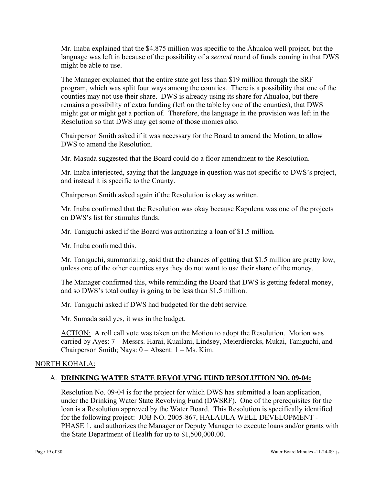Mr. Inaba explained that the \$4.875 million was specific to the Āhualoa well project, but the language was left in because of the possibility of a *second* round of funds coming in that DWS might be able to use.

The Manager explained that the entire state got less than \$19 million through the SRF program, which was split four ways among the counties. There is a possibility that one of the counties may not use their share. DWS is already using its share for Āhualoa, but there remains a possibility of extra funding (left on the table by one of the counties), that DWS might get or might get a portion of. Therefore, the language in the provision was left in the Resolution so that DWS may get some of those monies also.

Chairperson Smith asked if it was necessary for the Board to amend the Motion, to allow DWS to amend the Resolution.

Mr. Masuda suggested that the Board could do a floor amendment to the Resolution.

Mr. Inaba interjected, saying that the language in question was not specific to DWS's project, and instead it is specific to the County.

Chairperson Smith asked again if the Resolution is okay as written.

Mr. Inaba confirmed that the Resolution was okay because Kapulena was one of the projects on DWS's list for stimulus funds.

Mr. Taniguchi asked if the Board was authorizing a loan of \$1.5 million.

Mr. Inaba confirmed this.

Mr. Taniguchi, summarizing, said that the chances of getting that \$1.5 million are pretty low, unless one of the other counties says they do not want to use their share of the money.

The Manager confirmed this, while reminding the Board that DWS is getting federal money, and so DWS's total outlay is going to be less than \$1.5 million.

Mr. Taniguchi asked if DWS had budgeted for the debt service.

Mr. Sumada said yes, it was in the budget.

ACTION: A roll call vote was taken on the Motion to adopt the Resolution. Motion was carried by Ayes: 7 – Messrs. Harai, Kuailani, Lindsey, Meierdiercks, Mukai, Taniguchi, and Chairperson Smith; Nays: 0 – Absent: 1 – Ms. Kim.

#### NORTH KOHALA:

### A. **DRINKING WATER STATE REVOLVING FUND RESOLUTION NO. 09-04:**

Resolution No. 09-04 is for the project for which DWS has submitted a loan application, under the Drinking Water State Revolving Fund (DWSRF). One of the prerequisites for the loan is a Resolution approved by the Water Board. This Resolution is specifically identified for the following project: JOB NO. 2005-867, HALAULA WELL DEVELOPMENT - PHASE 1, and authorizes the Manager or Deputy Manager to execute loans and/or grants with the State Department of Health for up to \$1,500,000.00.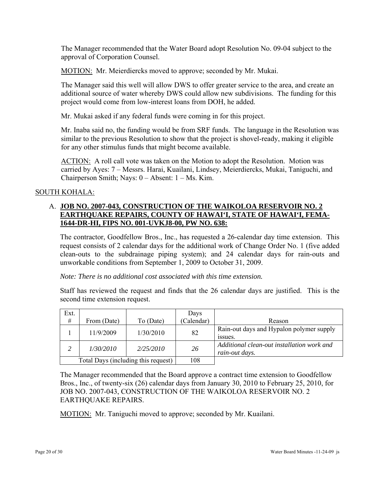The Manager recommended that the Water Board adopt Resolution No. 09-04 subject to the approval of Corporation Counsel.

MOTION: Mr. Meierdiercks moved to approve; seconded by Mr. Mukai.

The Manager said this well will allow DWS to offer greater service to the area, and create an additional source of water whereby DWS could allow new subdivisions. The funding for this project would come from low-interest loans from DOH, he added.

Mr. Mukai asked if any federal funds were coming in for this project.

Mr. Inaba said no, the funding would be from SRF funds. The language in the Resolution was similar to the previous Resolution to show that the project is shovel-ready, making it eligible for any other stimulus funds that might become available.

ACTION: A roll call vote was taken on the Motion to adopt the Resolution. Motion was carried by Ayes: 7 – Messrs. Harai, Kuailani, Lindsey, Meierdiercks, Mukai, Taniguchi, and Chairperson Smith; Nays: 0 – Absent: 1 – Ms. Kim.

#### SOUTH KOHALA:

### A. **JOB NO. 2007-043, CONSTRUCTION OF THE WAIKOLOA RESERVOIR NO. 2 EARTHQUAKE REPAIRS, COUNTY OF HAWAI'I, STATE OF HAWAI'I, FEMA-1644-DR-HI, FIPS NO. 001-UVKJ8-00, PW NO. 638:**

The contractor, Goodfellow Bros., Inc., has requested a 26-calendar day time extension. This request consists of 2 calendar days for the additional work of Change Order No. 1 (five added clean-outs to the subdrainage piping system); and 24 calendar days for rain-outs and unworkable conditions from September 1, 2009 to October 31, 2009.

*Note: There is no additional cost associated with this time extension.* 

Staff has reviewed the request and finds that the 26 calendar days are justified. This is the second time extension request.

| Ext.                                |             |           | Days       |                                                              |
|-------------------------------------|-------------|-----------|------------|--------------------------------------------------------------|
| $\#$                                | From (Date) | To (Date) | (Calendar) | Reason                                                       |
|                                     | 11/9/2009   | 1/30/2010 | 82         | Rain-out days and Hypalon polymer supply<br>issues.          |
| 2                                   | 1/30/2010   | 2/25/2010 | 26         | Additional clean-out installation work and<br>rain-out days. |
| Total Days (including this request) |             | 108       |            |                                                              |

The Manager recommended that the Board approve a contract time extension to Goodfellow Bros., Inc., of twenty-six (26) calendar days from January 30, 2010 to February 25, 2010, for JOB NO. 2007-043, CONSTRUCTION OF THE WAIKOLOA RESERVOIR NO. 2 EARTHQUAKE REPAIRS.

MOTION: Mr. Taniguchi moved to approve; seconded by Mr. Kuailani.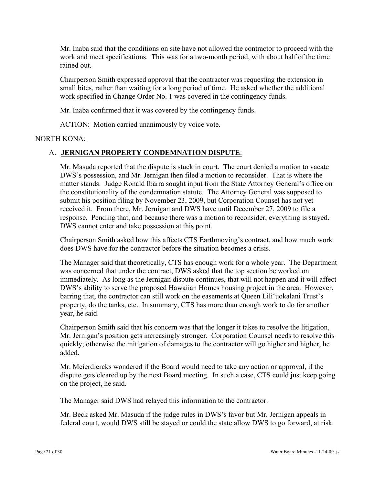Mr. Inaba said that the conditions on site have not allowed the contractor to proceed with the work and meet specifications. This was for a two-month period, with about half of the time rained out.

Chairperson Smith expressed approval that the contractor was requesting the extension in small bites, rather than waiting for a long period of time. He asked whether the additional work specified in Change Order No. 1 was covered in the contingency funds.

Mr. Inaba confirmed that it was covered by the contingency funds.

ACTION: Motion carried unanimously by voice vote.

#### NORTH KONA:

### A. **JERNIGAN PROPERTY CONDEMNATION DISPUTE**:

Mr. Masuda reported that the dispute is stuck in court. The court denied a motion to vacate DWS's possession, and Mr. Jernigan then filed a motion to reconsider. That is where the matter stands. Judge Ronald Ibarra sought input from the State Attorney General's office on the constitutionality of the condemnation statute. The Attorney General was supposed to submit his position filing by November 23, 2009, but Corporation Counsel has not yet received it. From there, Mr. Jernigan and DWS have until December 27, 2009 to file a response. Pending that, and because there was a motion to reconsider, everything is stayed. DWS cannot enter and take possession at this point.

Chairperson Smith asked how this affects CTS Earthmoving's contract, and how much work does DWS have for the contractor before the situation becomes a crisis.

The Manager said that theoretically, CTS has enough work for a whole year. The Department was concerned that under the contract, DWS asked that the top section be worked on immediately. As long as the Jernigan dispute continues, that will not happen and it will affect DWS's ability to serve the proposed Hawaiian Homes housing project in the area. However, barring that, the contractor can still work on the easements at Queen Lili'uokalani Trust's property, do the tanks, etc. In summary, CTS has more than enough work to do for another year, he said.

Chairperson Smith said that his concern was that the longer it takes to resolve the litigation, Mr. Jernigan's position gets increasingly stronger. Corporation Counsel needs to resolve this quickly; otherwise the mitigation of damages to the contractor will go higher and higher, he added.

Mr. Meierdiercks wondered if the Board would need to take any action or approval, if the dispute gets cleared up by the next Board meeting. In such a case, CTS could just keep going on the project, he said.

The Manager said DWS had relayed this information to the contractor.

Mr. Beck asked Mr. Masuda if the judge rules in DWS's favor but Mr. Jernigan appeals in federal court, would DWS still be stayed or could the state allow DWS to go forward, at risk.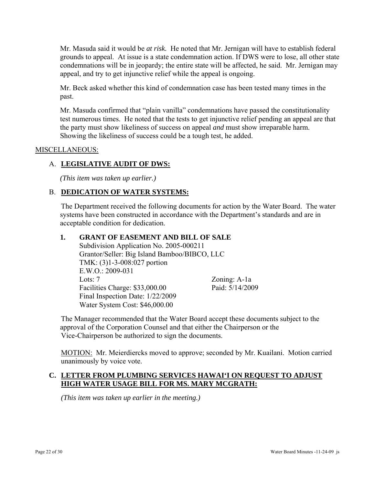Mr. Masuda said it would be *at risk.* He noted that Mr. Jernigan will have to establish federal grounds to appeal. At issue is a state condemnation action. If DWS were to lose, all other state condemnations will be in jeopardy; the entire state will be affected, he said. Mr. Jernigan may appeal, and try to get injunctive relief while the appeal is ongoing.

Mr. Beck asked whether this kind of condemnation case has been tested many times in the past.

Mr. Masuda confirmed that "plain vanilla" condemnations have passed the constitutionality test numerous times. He noted that the tests to get injunctive relief pending an appeal are that the party must show likeliness of success on appeal *and* must show irreparable harm. Showing the likeliness of success could be a tough test, he added.

#### MISCELLANEOUS:

### A. **LEGISLATIVE AUDIT OF DWS:**

*(This item was taken up earlier.)* 

#### B. **DEDICATION OF WATER SYSTEMS:**

The Department received the following documents for action by the Water Board. The water systems have been constructed in accordance with the Department's standards and are in acceptable condition for dedication.

#### **1. GRANT OF EASEMENT AND BILL OF SALE**

Subdivision Application No. 2005-000211 Grantor/Seller: Big Island Bamboo/BIBCO, LLC TMK: (3)1-3-008:027 portion E.W.O.: 2009-031 Lots: 7 Zoning: A-1a Facilities Charge: \$33,000.00 Paid: 5/14/2009 Final Inspection Date: 1/22/2009 Water System Cost: \$46,000.00

The Manager recommended that the Water Board accept these documents subject to the approval of the Corporation Counsel and that either the Chairperson or the Vice-Chairperson be authorized to sign the documents.

MOTION: Mr. Meierdiercks moved to approve; seconded by Mr. Kuailani. Motion carried unanimously by voice vote.

#### **C. LETTER FROM PLUMBING SERVICES HAWAI'I ON REQUEST TO ADJUST HIGH WATER USAGE BILL FOR MS. MARY MCGRATH:**

*(This item was taken up earlier in the meeting.)*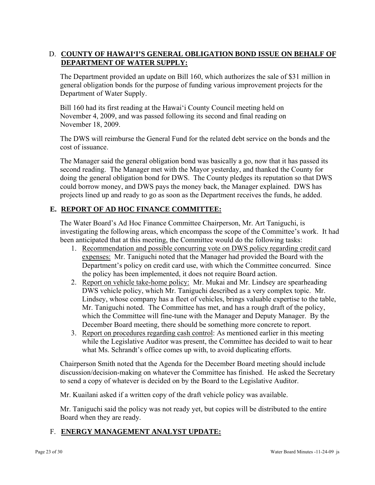### D. **COUNTY OF HAWAI'I'S GENERAL OBLIGATION BOND ISSUE ON BEHALF OF DEPARTMENT OF WATER SUPPLY:**

The Department provided an update on Bill 160, which authorizes the sale of \$31 million in general obligation bonds for the purpose of funding various improvement projects for the Department of Water Supply.

Bill 160 had its first reading at the Hawai'i County Council meeting held on November 4, 2009, and was passed following its second and final reading on November 18, 2009.

The DWS will reimburse the General Fund for the related debt service on the bonds and the cost of issuance.

The Manager said the general obligation bond was basically a go, now that it has passed its second reading. The Manager met with the Mayor yesterday, and thanked the County for doing the general obligation bond for DWS. The County pledges its reputation so that DWS could borrow money, and DWS pays the money back, the Manager explained. DWS has projects lined up and ready to go as soon as the Department receives the funds, he added.

# **E. REPORT OF AD HOC FINANCE COMMITTEE:**

The Water Board's Ad Hoc Finance Committee Chairperson, Mr. Art Taniguchi, is investigating the following areas, which encompass the scope of the Committee's work. It had been anticipated that at this meeting, the Committee would do the following tasks:

- 1. Recommendation and possible concurring vote on DWS policy regarding credit card expenses: Mr. Taniguchi noted that the Manager had provided the Board with the Department's policy on credit card use, with which the Committee concurred. Since the policy has been implemented, it does not require Board action.
- 2. Report on vehicle take-home policy: Mr. Mukai and Mr. Lindsey are spearheading DWS vehicle policy, which Mr. Taniguchi described as a very complex topic. Mr. Lindsey, whose company has a fleet of vehicles, brings valuable expertise to the table, Mr. Taniguchi noted. The Committee has met, and has a rough draft of the policy, which the Committee will fine-tune with the Manager and Deputy Manager. By the December Board meeting, there should be something more concrete to report.
- 3. Report on procedures regarding cash control: As mentioned earlier in this meeting while the Legislative Auditor was present, the Committee has decided to wait to hear what Ms. Schrandt's office comes up with, to avoid duplicating efforts.

Chairperson Smith noted that the Agenda for the December Board meeting should include discussion/decision-making on whatever the Committee has finished. He asked the Secretary to send a copy of whatever is decided on by the Board to the Legislative Auditor.

Mr. Kuailani asked if a written copy of the draft vehicle policy was available.

Mr. Taniguchi said the policy was not ready yet, but copies will be distributed to the entire Board when they are ready.

# F. **ENERGY MANAGEMENT ANALYST UPDATE:**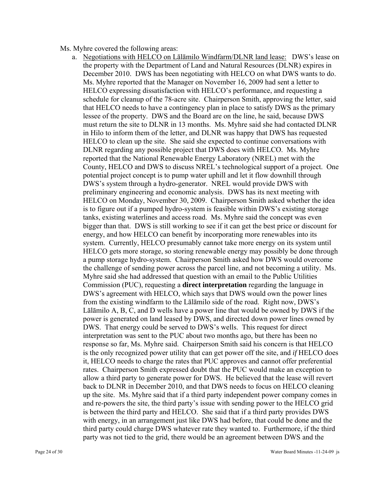#### Ms. Myhre covered the following areas:

a. Negotiations with HELCO on Lālāmilo Windfarm/DLNR land lease: DWS's lease on the property with the Department of Land and Natural Resources (DLNR) expires in December 2010. DWS has been negotiating with HELCO on what DWS wants to do. Ms. Myhre reported that the Manager on November 16, 2009 had sent a letter to HELCO expressing dissatisfaction with HELCO's performance, and requesting a schedule for cleanup of the 78-acre site. Chairperson Smith, approving the letter, said that HELCO needs to have a contingency plan in place to satisfy DWS as the primary lessee of the property. DWS and the Board are on the line, he said, because DWS must return the site to DLNR in 13 months. Ms. Myhre said she had contacted DLNR in Hilo to inform them of the letter, and DLNR was happy that DWS has requested HELCO to clean up the site. She said she expected to continue conversations with DLNR regarding any possible project that DWS does with HELCO. Ms. Myhre reported that the National Renewable Energy Laboratory (NREL) met with the County, HELCO and DWS to discuss NREL's technological support of a project. One potential project concept is to pump water uphill and let it flow downhill through DWS's system through a hydro-generator. NREL would provide DWS with preliminary engineering and economic analysis. DWS has its next meeting with HELCO on Monday, November 30, 2009. Chairperson Smith asked whether the idea is to figure out if a pumped hydro-system is feasible within DWS's existing storage tanks, existing waterlines and access road. Ms. Myhre said the concept was even bigger than that. DWS is still working to see if it can get the best price or discount for energy, and how HELCO can benefit by incorporating more renewables into its system. Currently, HELCO presumably cannot take more energy on its system until HELCO gets more storage, so storing renewable energy may possibly be done through a pump storage hydro-system. Chairperson Smith asked how DWS would overcome the challenge of sending power across the parcel line, and not becoming a utility. Ms. Myhre said she had addressed that question with an email to the Public Utilities Commission (PUC), requesting a **direct interpretation** regarding the language in DWS's agreement with HELCO, which says that DWS would own the power lines from the existing windfarm to the Lālāmilo side of the road. Right now, DWS's Lālāmilo A, B, C, and D wells have a power line that would be owned by DWS if the power is generated on land leased by DWS, and directed down power lines owned by DWS. That energy could be served to DWS's wells. This request for direct interpretation was sent to the PUC about two months ago, but there has been no response so far, Ms. Myhre said. Chairperson Smith said his concern is that HELCO is the only recognized power utility that can get power off the site, and *if* HELCO does it, HELCO needs to charge the rates that PUC approves and cannot offer preferential rates. Chairperson Smith expressed doubt that the PUC would make an exception to allow a third party to generate power for DWS. He believed that the lease will revert back to DLNR in December 2010, and that DWS needs to focus on HELCO cleaning up the site. Ms. Myhre said that if a third party independent power company comes in and re-powers the site, the third party's issue with sending power to the HELCO grid is between the third party and HELCO. She said that if a third party provides DWS with energy, in an arrangement just like DWS had before, that could be done and the third party could charge DWS whatever rate they wanted to. Furthermore, if the third party was not tied to the grid, there would be an agreement between DWS and the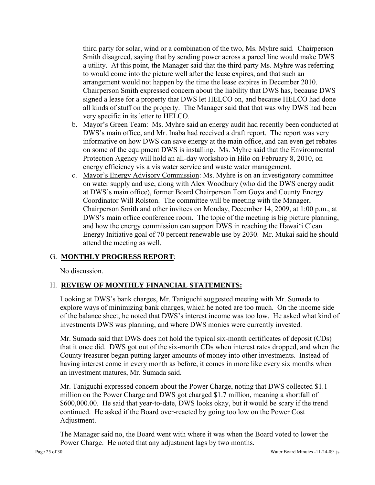third party for solar, wind or a combination of the two, Ms. Myhre said. Chairperson Smith disagreed, saying that by sending power across a parcel line would make DWS a utility. At this point, the Manager said that the third party Ms. Myhre was referring to would come into the picture well after the lease expires, and that such an arrangement would not happen by the time the lease expires in December 2010. Chairperson Smith expressed concern about the liability that DWS has, because DWS signed a lease for a property that DWS let HELCO on, and because HELCO had done all kinds of stuff on the property. The Manager said that that was why DWS had been very specific in its letter to HELCO.

- b. Mayor's Green Team: Ms. Myhre said an energy audit had recently been conducted at DWS's main office, and Mr. Inaba had received a draft report. The report was very informative on how DWS can save energy at the main office, and can even get rebates on some of the equipment DWS is installing. Ms. Myhre said that the Environmental Protection Agency will hold an all-day workshop in Hilo on February 8, 2010, on energy efficiency vis a vis water service and waste water management.
- c. Mayor's Energy Advisory Commission: Ms. Myhre is on an investigatory committee on water supply and use, along with Alex Woodbury (who did the DWS energy audit at DWS's main office), former Board Chairperson Tom Goya and County Energy Coordinator Will Rolston. The committee will be meeting with the Manager, Chairperson Smith and other invitees on Monday, December 14, 2009, at 1:00 p.m., at DWS's main office conference room. The topic of the meeting is big picture planning, and how the energy commission can support DWS in reaching the Hawai'i Clean Energy Initiative goal of 70 percent renewable use by 2030. Mr. Mukai said he should attend the meeting as well.

### G. **MONTHLY PROGRESS REPORT**:

No discussion.

# H. **REVIEW OF MONTHLY FINANCIAL STATEMENTS:**

Looking at DWS's bank charges, Mr. Taniguchi suggested meeting with Mr. Sumada to explore ways of minimizing bank charges, which he noted are too much. On the income side of the balance sheet, he noted that DWS's interest income was too low. He asked what kind of investments DWS was planning, and where DWS monies were currently invested.

Mr. Sumada said that DWS does not hold the typical six-month certificates of deposit (CDs) that it once did. DWS got out of the six-month CDs when interest rates dropped, and when the County treasurer began putting larger amounts of money into other investments. Instead of having interest come in every month as before, it comes in more like every six months when an investment matures, Mr. Sumada said.

Mr. Taniguchi expressed concern about the Power Charge, noting that DWS collected \$1.1 million on the Power Charge and DWS got charged \$1.7 million, meaning a shortfall of \$600,000.00. He said that year-to-date, DWS looks okay, but it would be scary if the trend continued. He asked if the Board over-reacted by going too low on the Power Cost Adjustment.

The Manager said no, the Board went with where it was when the Board voted to lower the Power Charge. He noted that any adjustment lags by two months.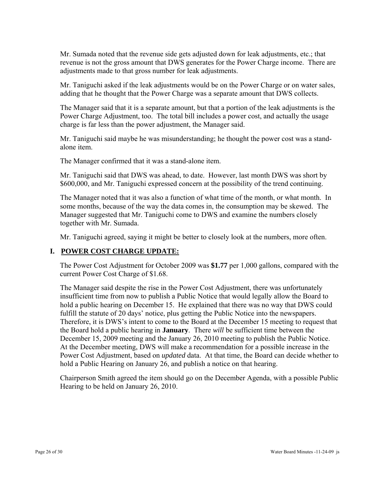Mr. Sumada noted that the revenue side gets adjusted down for leak adjustments, etc.; that revenue is not the gross amount that DWS generates for the Power Charge income. There are adjustments made to that gross number for leak adjustments.

Mr. Taniguchi asked if the leak adjustments would be on the Power Charge or on water sales, adding that he thought that the Power Charge was a separate amount that DWS collects.

The Manager said that it is a separate amount, but that a portion of the leak adjustments is the Power Charge Adjustment, too. The total bill includes a power cost, and actually the usage charge is far less than the power adjustment, the Manager said.

Mr. Taniguchi said maybe he was misunderstanding; he thought the power cost was a standalone item.

The Manager confirmed that it was a stand-alone item.

Mr. Taniguchi said that DWS was ahead, to date. However, last month DWS was short by \$600,000, and Mr. Taniguchi expressed concern at the possibility of the trend continuing.

The Manager noted that it was also a function of what time of the month, or what month. In some months, because of the way the data comes in, the consumption may be skewed. The Manager suggested that Mr. Taniguchi come to DWS and examine the numbers closely together with Mr. Sumada.

Mr. Taniguchi agreed, saying it might be better to closely look at the numbers, more often.

#### **I. POWER COST CHARGE UPDATE:**

The Power Cost Adjustment for October 2009 was **\$1.77** per 1,000 gallons, compared with the current Power Cost Charge of \$1.68.

The Manager said despite the rise in the Power Cost Adjustment, there was unfortunately insufficient time from now to publish a Public Notice that would legally allow the Board to hold a public hearing on December 15. He explained that there was no way that DWS could fulfill the statute of 20 days' notice, plus getting the Public Notice into the newspapers. Therefore, it is DWS's intent to come to the Board at the December 15 meeting to request that the Board hold a public hearing in **January**. There *will* be sufficient time between the December 15, 2009 meeting and the January 26, 2010 meeting to publish the Public Notice. At the December meeting, DWS will make a recommendation for a possible increase in the Power Cost Adjustment, based on *updated* data. At that time, the Board can decide whether to hold a Public Hearing on January 26, and publish a notice on that hearing.

Chairperson Smith agreed the item should go on the December Agenda, with a possible Public Hearing to be held on January 26, 2010.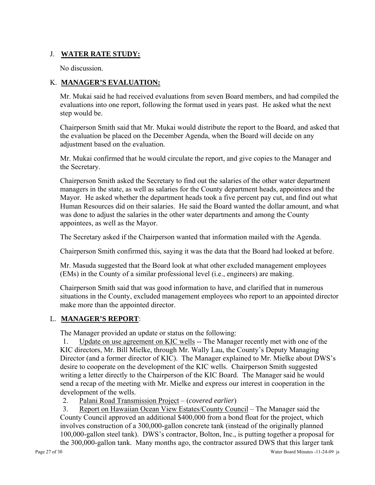# J. **WATER RATE STUDY:**

No discussion.

### K. **MANAGER'S EVALUATION:**

Mr. Mukai said he had received evaluations from seven Board members, and had compiled the evaluations into one report, following the format used in years past. He asked what the next step would be.

Chairperson Smith said that Mr. Mukai would distribute the report to the Board, and asked that the evaluation be placed on the December Agenda, when the Board will decide on any adjustment based on the evaluation.

Mr. Mukai confirmed that he would circulate the report, and give copies to the Manager and the Secretary.

Chairperson Smith asked the Secretary to find out the salaries of the other water department managers in the state, as well as salaries for the County department heads, appointees and the Mayor. He asked whether the department heads took a five percent pay cut, and find out what Human Resources did on their salaries. He said the Board wanted the dollar amount, and what was done to adjust the salaries in the other water departments and among the County appointees, as well as the Mayor.

The Secretary asked if the Chairperson wanted that information mailed with the Agenda.

Chairperson Smith confirmed this, saying it was the data that the Board had looked at before.

Mr. Masuda suggested that the Board look at what other excluded management employees (EMs) in the County of a similar professional level (i.e., engineers) are making.

Chairperson Smith said that was good information to have, and clarified that in numerous situations in the County, excluded management employees who report to an appointed director make more than the appointed director.

# L. **MANAGER'S REPORT**:

The Manager provided an update or status on the following:

1. Update on use agreement on KIC wells -- The Manager recently met with one of the KIC directors, Mr. Bill Mielke, through Mr. Wally Lau, the County's Deputy Managing Director (and a former director of KIC). The Manager explained to Mr. Mielke about DWS's desire to cooperate on the development of the KIC wells. Chairperson Smith suggested writing a letter directly to the Chairperson of the KIC Board. The Manager said he would send a recap of the meeting with Mr. Mielke and express our interest in cooperation in the development of the wells.

2. Palani Road Transmission Project – (*covered earlier*)

3. Report on Hawaiian Ocean View Estates/County Council – The Manager said the County Council approved an additional \$400,000 from a bond float for the project, which involves construction of a 300,000-gallon concrete tank (instead of the originally planned 100,000-gallon steel tank). DWS's contractor, Bolton, Inc., is putting together a proposal for the 300,000-gallon tank. Many months ago, the contractor assured DWS that this larger tank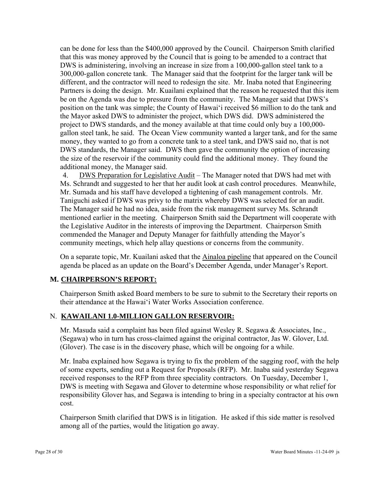can be done for less than the \$400,000 approved by the Council. Chairperson Smith clarified that this was money approved by the Council that is going to be amended to a contract that DWS is administering, involving an increase in size from a 100,000-gallon steel tank to a 300,000-gallon concrete tank. The Manager said that the footprint for the larger tank will be different, and the contractor will need to redesign the site. Mr. Inaba noted that Engineering Partners is doing the design. Mr. Kuailani explained that the reason he requested that this item be on the Agenda was due to pressure from the community. The Manager said that DWS's position on the tank was simple; the County of Hawai'i received \$6 million to do the tank and the Mayor asked DWS to administer the project, which DWS did. DWS administered the project to DWS standards, and the money available at that time could only buy a 100,000 gallon steel tank, he said. The Ocean View community wanted a larger tank, and for the same money, they wanted to go from a concrete tank to a steel tank, and DWS said no, that is not DWS standards, the Manager said. DWS then gave the community the option of increasing the size of the reservoir if the community could find the additional money. They found the additional money, the Manager said.

4. DWS Preparation for Legislative Audit – The Manager noted that DWS had met with Ms. Schrandt and suggested to her that her audit look at cash control procedures. Meanwhile, Mr. Sumada and his staff have developed a tightening of cash management controls. Mr. Taniguchi asked if DWS was privy to the matrix whereby DWS was selected for an audit. The Manager said he had no idea, aside from the risk management survey Ms. Schrandt mentioned earlier in the meeting. Chairperson Smith said the Department will cooperate with the Legislative Auditor in the interests of improving the Department. Chairperson Smith commended the Manager and Deputy Manager for faithfully attending the Mayor's community meetings, which help allay questions or concerns from the community.

On a separate topic, Mr. Kuailani asked that the Ainaloa pipeline that appeared on the Council agenda be placed as an update on the Board's December Agenda, under Manager's Report.

# **M. CHAIRPERSON'S REPORT:**

Chairperson Smith asked Board members to be sure to submit to the Secretary their reports on their attendance at the Hawai'i Water Works Association conference.

# N. **KAWAILANI 1.0-MILLION GALLON RESERVOIR:**

Mr. Masuda said a complaint has been filed against Wesley R. Segawa & Associates, Inc., (Segawa) who in turn has cross-claimed against the original contractor, Jas W. Glover, Ltd. (Glover). The case is in the discovery phase, which will be ongoing for a while.

Mr. Inaba explained how Segawa is trying to fix the problem of the sagging roof, with the help of some experts, sending out a Request for Proposals (RFP). Mr. Inaba said yesterday Segawa received responses to the RFP from three speciality contractors. On Tuesday, December 1, DWS is meeting with Segawa and Glover to determine whose responsibility or what relief for responsibility Glover has, and Segawa is intending to bring in a specialty contractor at his own cost.

Chairperson Smith clarified that DWS is in litigation. He asked if this side matter is resolved among all of the parties, would the litigation go away.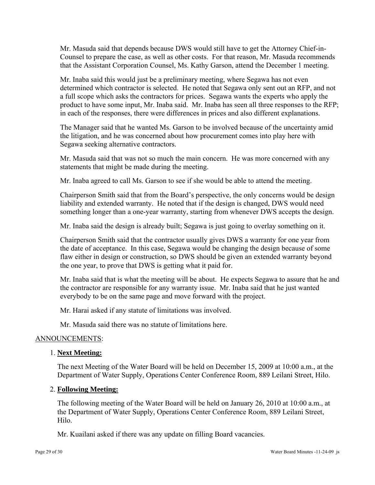Mr. Masuda said that depends because DWS would still have to get the Attorney Chief-in-Counsel to prepare the case, as well as other costs. For that reason, Mr. Masuda recommends that the Assistant Corporation Counsel, Ms. Kathy Garson, attend the December 1 meeting.

Mr. Inaba said this would just be a preliminary meeting, where Segawa has not even determined which contractor is selected. He noted that Segawa only sent out an RFP, and not a full scope which asks the contractors for prices. Segawa wants the experts who apply the product to have some input, Mr. Inaba said. Mr. Inaba has seen all three responses to the RFP; in each of the responses, there were differences in prices and also different explanations.

The Manager said that he wanted Ms. Garson to be involved because of the uncertainty amid the litigation, and he was concerned about how procurement comes into play here with Segawa seeking alternative contractors.

Mr. Masuda said that was not so much the main concern. He was more concerned with any statements that might be made during the meeting.

Mr. Inaba agreed to call Ms. Garson to see if she would be able to attend the meeting.

Chairperson Smith said that from the Board's perspective, the only concerns would be design liability and extended warranty. He noted that if the design is changed, DWS would need something longer than a one-year warranty, starting from whenever DWS accepts the design.

Mr. Inaba said the design is already built; Segawa is just going to overlay something on it.

Chairperson Smith said that the contractor usually gives DWS a warranty for one year from the date of acceptance. In this case, Segawa would be changing the design because of some flaw either in design or construction, so DWS should be given an extended warranty beyond the one year, to prove that DWS is getting what it paid for.

Mr. Inaba said that is what the meeting will be about. He expects Segawa to assure that he and the contractor are responsible for any warranty issue. Mr. Inaba said that he just wanted everybody to be on the same page and move forward with the project.

Mr. Harai asked if any statute of limitations was involved.

Mr. Masuda said there was no statute of limitations here.

### ANNOUNCEMENTS:

### 1. **Next Meeting:**

The next Meeting of the Water Board will be held on December 15, 2009 at 10:00 a.m., at the Department of Water Supply, Operations Center Conference Room, 889 Leilani Street, Hilo.

#### 2. **Following Meeting:**

The following meeting of the Water Board will be held on January 26, 2010 at 10:00 a.m., at the Department of Water Supply, Operations Center Conference Room, 889 Leilani Street, Hilo.

Mr. Kuailani asked if there was any update on filling Board vacancies.